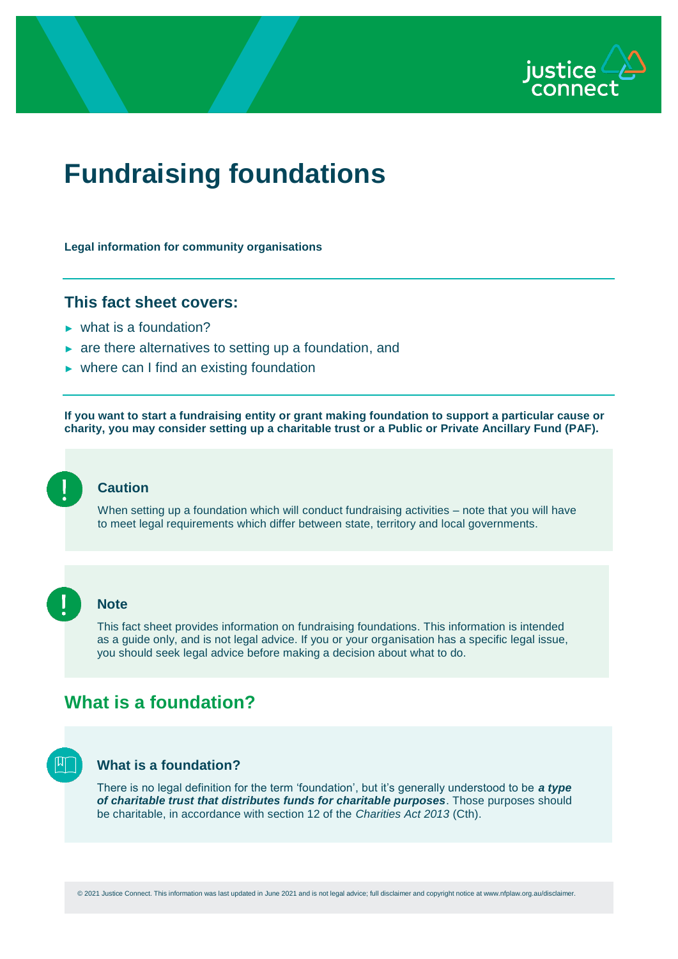

# **Fundraising foundations**

**Legal information for community organisations**

#### **This fact sheet covers:**

- $\blacktriangleright$  what is a foundation?
- ► are there alternatives to setting up a foundation, and
- $\triangleright$  where can I find an existing foundation

**If you want to start a fundraising entity or grant making foundation to support a particular cause or charity, you may consider setting up a charitable trust or a Public or Private Ancillary Fund (PAF).**

### **Caution**

When setting up a foundation which will conduct fundraising activities – note that you will have to meet legal requirements which differ between state, territory and local governments.



#### **Note**

This fact sheet provides information on fundraising foundations. This information is intended as a guide only, and is not legal advice. If you or your organisation has a specific legal issue, you should seek legal advice before making a decision about what to do.

## **What is a foundation?**



#### **What is a foundation?**

There is no legal definition for the term 'foundation', but it's generally understood to be *a type of charitable trust that distributes funds for charitable purposes*. Those purposes should be charitable, in accordance with section 12 of the *Charities Act 2013* (Cth).

© 2021 Justice Connect. This information was last updated in June 2021 and is not legal advice; full disclaimer and copyright notice at www.nfplaw.org.au/disclaimer.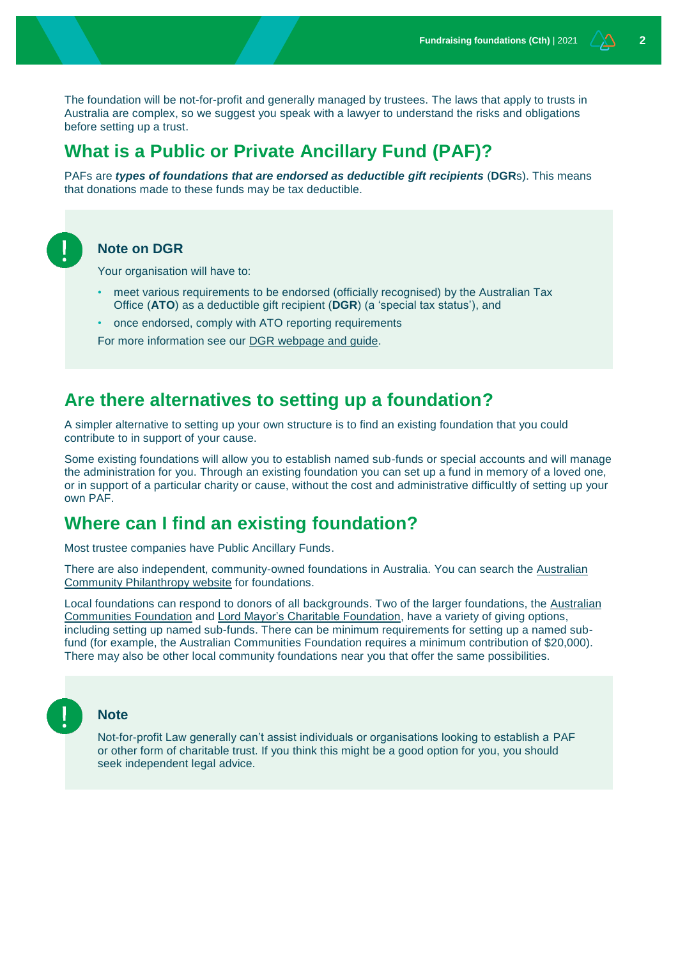The foundation will be not-for-profit and generally managed by trustees. The laws that apply to trusts in Australia are complex, so we suggest you speak with a lawyer to understand the risks and obligations before setting up a trust.

### **What is a Public or Private Ancillary Fund (PAF)?**

PAFs are *types of foundations that are endorsed as deductible gift recipients* (**DGR**s). This means that donations made to these funds may be tax deductible.



#### **Note on DGR**

Your organisation will have to:

- meet various requirements to be endorsed (officially recognised) by the Australian Tax Office (**ATO**) as a deductible gift recipient (**DGR**) (a 'special tax status'), and
- once endorsed, comply with ATO reporting requirements

For more information see our [DGR webpage and guide.](https://www.nfplaw.org.au/DGR)

### **Are there alternatives to setting up a foundation?**

A simpler alternative to setting up your own structure is to find an existing foundation that you could contribute to in support of your cause.

Some existing foundations will allow you to establish named sub-funds or special accounts and will manage the administration for you. Through an existing foundation you can set up a fund in memory of a loved one, or in support of a particular charity or cause, without the cost and administrative difficultly of setting up your own PAF.

### **Where can I find an existing foundation?**

Most trustee companies have Public Ancillary Funds.

There are also independent, community-owned foundations in Australia. You can search the [Australian](https://www.australiancommunityphilanthropy.org.au/mapping-australian-community-foundations/)  [Community Philanthropy website](https://www.australiancommunityphilanthropy.org.au/mapping-australian-community-foundations/) for foundations.

Local foundations can respond to donors of all backgrounds. Two of the larger foundations, the [Australian](https://www.communityfoundation.org.au/)  [Communities Foundation](https://www.communityfoundation.org.au/) and [Lord Mayor's Charitable Foundation,](https://www.lmcf.org.au/about) have a variety of giving options, including setting up named sub-funds. There can be minimum requirements for setting up a named subfund (for example, the Australian Communities Foundation requires a minimum contribution of \$20,000). There may also be other local community foundations near you that offer the same possibilities.



#### **Note**

Not-for-profit Law generally can't assist individuals or organisations looking to establish a PAF or other form of charitable trust. If you think this might be a good option for you, you should seek independent legal advice.